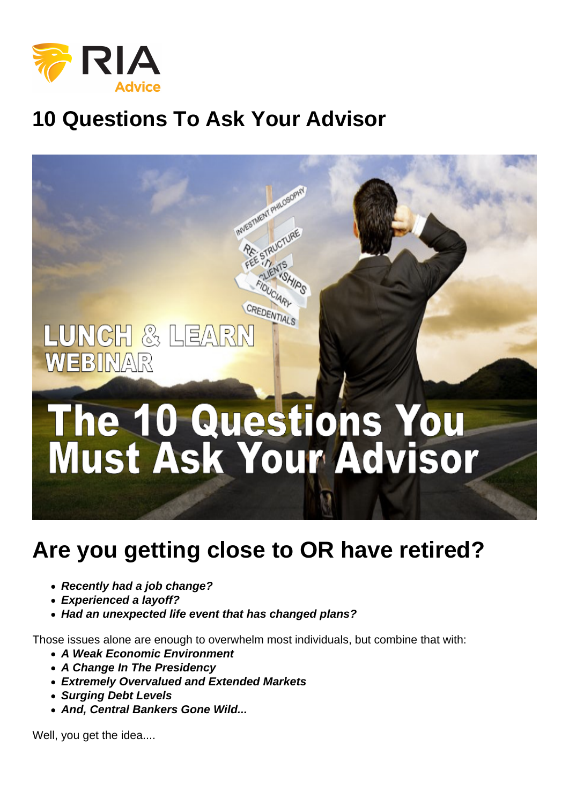## 10 Questions To Ask Your Advisor

## Are you getting close to OR have retired?

- Recently had a job change?
- Experienced a layoff?
- Had an unexpected life event that has changed plans?

Those issues alone are enough to overwhelm most individuals, but combine that with:

- A Weak Economic Environment
- A Change In The Presidency
- Extremely Overvalued and Extended Markets
- Surging Debt Levels
- And, Central Bankers Gone Wild...

Well, you get the idea....